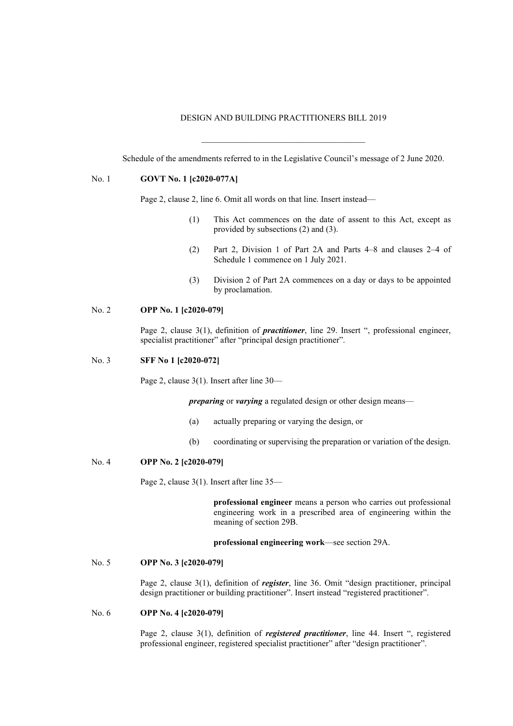### DESIGN AND BUILDING PRACTITIONERS BILL 2019

Schedule of the amendments referred to in the Legislative Council's message of 2 June 2020.

\_\_\_\_\_\_\_\_\_\_\_\_\_\_\_\_\_\_\_\_\_\_\_\_\_\_\_\_\_\_\_\_\_\_\_\_\_\_

#### No. 1 **GOVT No. 1 [c2020-077A]**

Page 2, clause 2, line 6. Omit all words on that line. Insert instead—

- (1) This Act commences on the date of assent to this Act, except as provided by subsections (2) and (3).
- (2) Part 2, Division 1 of Part 2A and Parts 4–8 and clauses 2–4 of Schedule 1 commence on 1 July 2021.
- (3) Division 2 of Part 2A commences on a day or days to be appointed by proclamation.

### No. 2 **OPP No. 1 [c2020-079]**

Page 2, clause 3(1), definition of *practitioner*, line 29. Insert ", professional engineer, specialist practitioner" after "principal design practitioner".

#### No. 3 **SFF No 1 [c2020-072]**

Page 2, clause 3(1). Insert after line 30—

*preparing* or *varying* a regulated design or other design means—

- (a) actually preparing or varying the design, or
- (b) coordinating or supervising the preparation or variation of the design.

#### No. 4 **OPP No. 2 [c2020-079]**

Page 2, clause 3(1). Insert after line 35—

**professional engineer** means a person who carries out professional engineering work in a prescribed area of engineering within the meaning of section 29B.

**professional engineering work**—see section 29A.

# No. 5 **OPP No. 3 [c2020-079]**

Page 2, clause 3(1), definition of *register*, line 36. Omit "design practitioner, principal design practitioner or building practitioner". Insert instead "registered practitioner".

# No. 6 **OPP No. 4 [c2020-079]**

Page 2, clause 3(1), definition of *registered practitioner*, line 44. Insert ", registered professional engineer, registered specialist practitioner" after "design practitioner".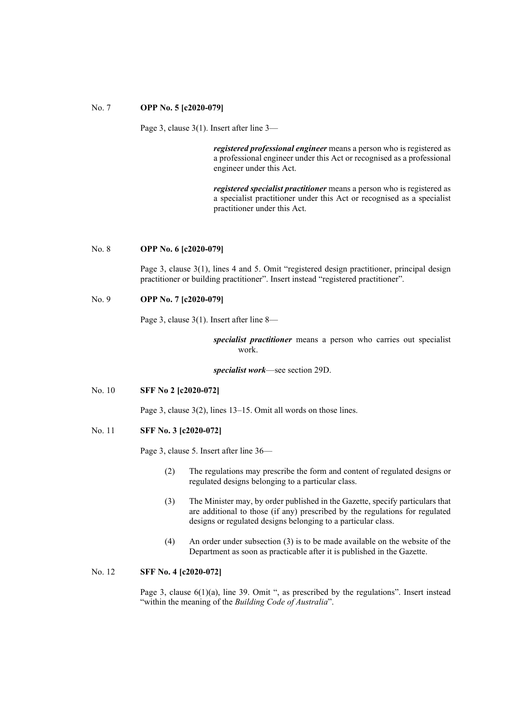### No. 7 **OPP No. 5 [c2020-079]**

Page 3, clause 3(1). Insert after line 3—

*registered professional engineer* means a person who is registered as a professional engineer under this Act or recognised as a professional engineer under this Act.

*registered specialist practitioner* means a person who is registered as a specialist practitioner under this Act or recognised as a specialist practitioner under this Act.

#### No. 8 **OPP No. 6 [c2020-079]**

Page 3, clause 3(1), lines 4 and 5. Omit "registered design practitioner, principal design practitioner or building practitioner". Insert instead "registered practitioner".

# No. 9 **OPP No. 7 [c2020-079]**

Page 3, clause 3(1). Insert after line 8—

*specialist practitioner* means a person who carries out specialist work.

*specialist work*—see section 29D.

No. 10 **SFF No 2 [c2020-072]**

Page 3, clause 3(2), lines 13–15. Omit all words on those lines.

No. 11 **SFF No. 3 [c2020-072]**

Page 3, clause 5. Insert after line 36—

- (2) The regulations may prescribe the form and content of regulated designs or regulated designs belonging to a particular class.
- (3) The Minister may, by order published in the Gazette, specify particulars that are additional to those (if any) prescribed by the regulations for regulated designs or regulated designs belonging to a particular class.
- (4) An order under subsection (3) is to be made available on the website of the Department as soon as practicable after it is published in the Gazette.

# No. 12 **SFF No. 4 [c2020-072]**

Page 3, clause 6(1)(a), line 39. Omit ", as prescribed by the regulations". Insert instead "within the meaning of the *Building Code of Australia*".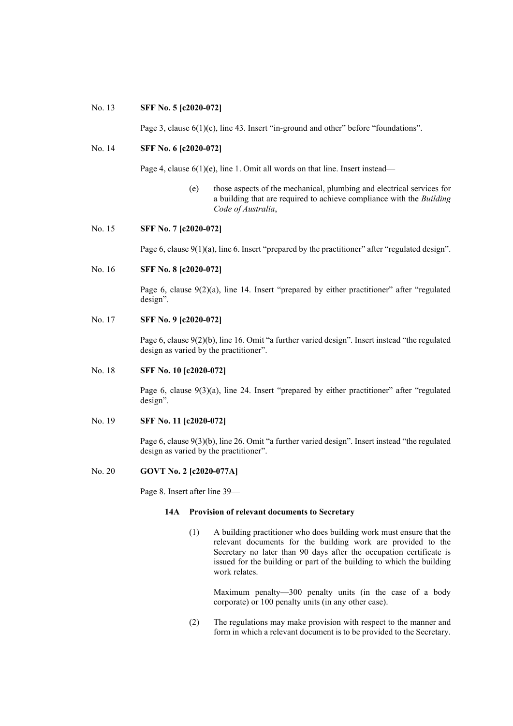### No. 13 **SFF No. 5 [c2020-072]**

Page 3, clause  $6(1)(c)$ , line 43. Insert "in-ground and other" before "foundations".

# No. 14 **SFF No. 6 [c2020-072]**

Page 4, clause  $6(1)(e)$ , line 1. Omit all words on that line. Insert instead—

(e) those aspects of the mechanical, plumbing and electrical services for a building that are required to achieve compliance with the *Building Code of Australia*,

### No. 15 **SFF No. 7 [c2020-072]**

Page 6, clause 9(1)(a), line 6. Insert "prepared by the practitioner" after "regulated design".

No. 16 **SFF No. 8 [c2020-072]**

Page 6, clause 9(2)(a), line 14. Insert "prepared by either practitioner" after "regulated design".

# No. 17 **SFF No. 9 [c2020-072]**

Page 6, clause 9(2)(b), line 16. Omit "a further varied design". Insert instead "the regulated design as varied by the practitioner".

#### No. 18 **SFF No. 10 [c2020-072]**

Page 6, clause 9(3)(a), line 24. Insert "prepared by either practitioner" after "regulated design".

# No. 19 **SFF No. 11 [c2020-072]**

Page 6, clause 9(3)(b), line 26. Omit "a further varied design". Insert instead "the regulated design as varied by the practitioner".

### No. 20 **GOVT No. 2 [c2020-077A]**

Page 8. Insert after line 39—

### **14A Provision of relevant documents to Secretary**

(1) A building practitioner who does building work must ensure that the relevant documents for the building work are provided to the Secretary no later than 90 days after the occupation certificate is issued for the building or part of the building to which the building work relates.

Maximum penalty—300 penalty units (in the case of a body corporate) or 100 penalty units (in any other case).

(2) The regulations may make provision with respect to the manner and form in which a relevant document is to be provided to the Secretary.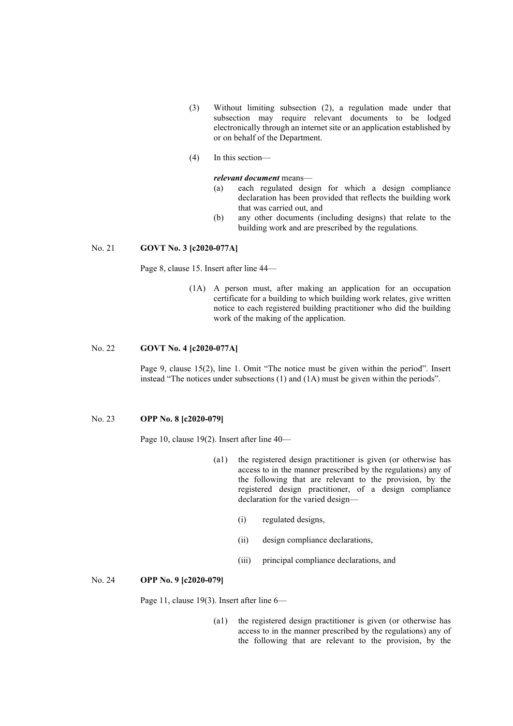- (3) Without limiting subsection (2), a regulation made under that subsection may require relevant documents to be lodged electronically through an internet site or an application established by or on behalf of the Department.
- (4) In this section—

#### *relevant document* means—

- (a) each regulated design for which a design compliance declaration has been provided that reflects the building work that was carried out, and
- (b) any other documents (including designs) that relate to the building work and are prescribed by the regulations.

## No. 21 **GOVT No. 3 [c2020-077A]**

Page 8, clause 15. Insert after line 44—

(1A) A person must, after making an application for an occupation certificate for a building to which building work relates, give written notice to each registered building practitioner who did the building work of the making of the application.

### No. 22 **GOVT No. 4 [c2020-077A]**

Page 9, clause 15(2), line 1. Omit "The notice must be given within the period". Insert instead "The notices under subsections (1) and (1A) must be given within the periods".

# No. 23 **OPP No. 8 [c2020-079]**

Page 10, clause 19(2). Insert after line 40—

- (a1) the registered design practitioner is given (or otherwise has access to in the manner prescribed by the regulations) any of the following that are relevant to the provision, by the registered design practitioner, of a design compliance declaration for the varied design—
	- (i) regulated designs,
	- (ii) design compliance declarations,
	- (iii) principal compliance declarations, and

#### No. 24 **OPP No. 9 [c2020-079]**

Page 11, clause 19(3). Insert after line 6—

(a1) the registered design practitioner is given (or otherwise has access to in the manner prescribed by the regulations) any of the following that are relevant to the provision, by the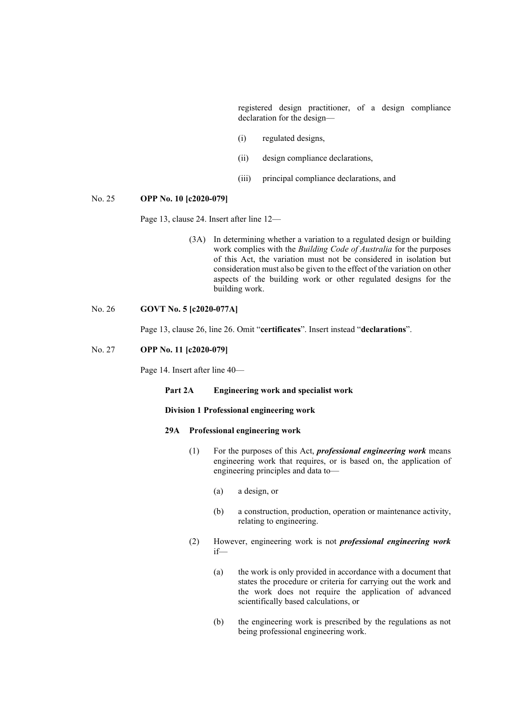registered design practitioner, of a design compliance declaration for the design—

- (i) regulated designs,
- (ii) design compliance declarations,
- (iii) principal compliance declarations, and

## No. 25 **OPP No. 10 [c2020-079]**

Page 13, clause 24. Insert after line 12—

(3A) In determining whether a variation to a regulated design or building work complies with the *Building Code of Australia* for the purposes of this Act, the variation must not be considered in isolation but consideration must also be given to the effect of the variation on other aspects of the building work or other regulated designs for the building work.

# No. 26 **GOVT No. 5 [c2020-077A]**

Page 13, clause 26, line 26. Omit "**certificates**". Insert instead "**declarations**".

# No. 27 **OPP No. 11 [c2020-079]**

Page 14. Insert after line 40—

### **Part 2A Engineering work and specialist work**

## **Division 1 Professional engineering work**

# **29A Professional engineering work**

- (1) For the purposes of this Act, *professional engineering work* means engineering work that requires, or is based on, the application of engineering principles and data to—
	- (a) a design, or
	- (b) a construction, production, operation or maintenance activity, relating to engineering.
- (2) However, engineering work is not *professional engineering work* if—
	- (a) the work is only provided in accordance with a document that states the procedure or criteria for carrying out the work and the work does not require the application of advanced scientifically based calculations, or
	- (b) the engineering work is prescribed by the regulations as not being professional engineering work.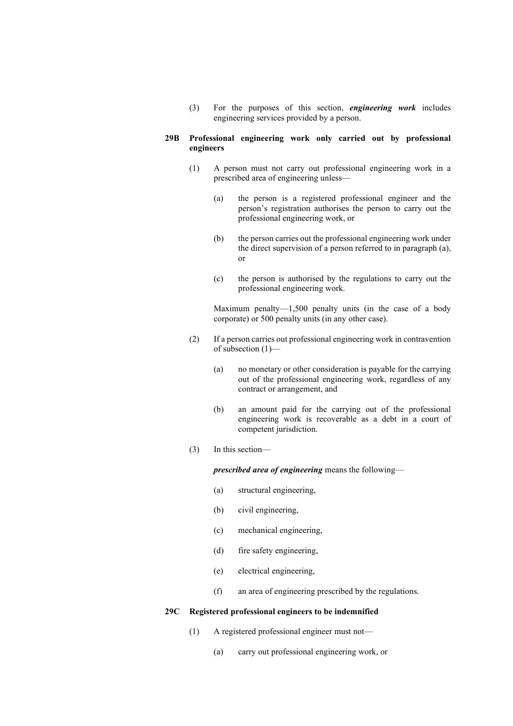(3) For the purposes of this section, *engineering work* includes engineering services provided by a person.

## **29B Professional engineering work only carried out by professional engineers**

- (1) A person must not carry out professional engineering work in a prescribed area of engineering unless—
	- (a) the person is a registered professional engineer and the person's registration authorises the person to carry out the professional engineering work, or
	- (b) the person carries out the professional engineering work under the direct supervision of a person referred to in paragraph (a), or
	- (c) the person is authorised by the regulations to carry out the professional engineering work.

Maximum penalty—1,500 penalty units (in the case of a body corporate) or 500 penalty units (in any other case).

- (2) If a person carries out professional engineering work in contravention of subsection (1)—
	- (a) no monetary or other consideration is payable for the carrying out of the professional engineering work, regardless of any contract or arrangement, and
	- (b) an amount paid for the carrying out of the professional engineering work is recoverable as a debt in a court of competent jurisdiction.
- (3) In this section—

*prescribed area of engineering* means the following—

- (a) structural engineering,
- (b) civil engineering,
- (c) mechanical engineering,
- (d) fire safety engineering,
- (e) electrical engineering,
- (f) an area of engineering prescribed by the regulations.

# **29C Registered professional engineers to be indemnified**

- (1) A registered professional engineer must not—
	- (a) carry out professional engineering work, or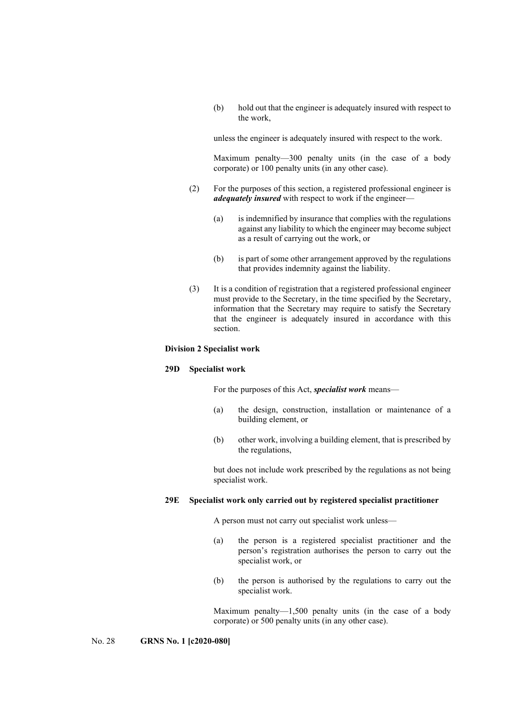(b) hold out that the engineer is adequately insured with respect to the work,

unless the engineer is adequately insured with respect to the work.

Maximum penalty—300 penalty units (in the case of a body corporate) or 100 penalty units (in any other case).

- (2) For the purposes of this section, a registered professional engineer is *adequately insured* with respect to work if the engineer—
	- (a) is indemnified by insurance that complies with the regulations against any liability to which the engineer may become subject as a result of carrying out the work, or
	- (b) is part of some other arrangement approved by the regulations that provides indemnity against the liability.
- (3) It is a condition of registration that a registered professional engineer must provide to the Secretary, in the time specified by the Secretary, information that the Secretary may require to satisfy the Secretary that the engineer is adequately insured in accordance with this section.

## **Division 2 Specialist work**

### **29D Specialist work**

For the purposes of this Act, *specialist work* means—

- (a) the design, construction, installation or maintenance of a building element, or
- (b) other work, involving a building element, that is prescribed by the regulations,

but does not include work prescribed by the regulations as not being specialist work.

### **29E Specialist work only carried out by registered specialist practitioner**

A person must not carry out specialist work unless—

- (a) the person is a registered specialist practitioner and the person's registration authorises the person to carry out the specialist work, or
- (b) the person is authorised by the regulations to carry out the specialist work.

Maximum penalty—1,500 penalty units (in the case of a body corporate) or 500 penalty units (in any other case).

No. 28 **GRNS No. 1 [c2020-080]**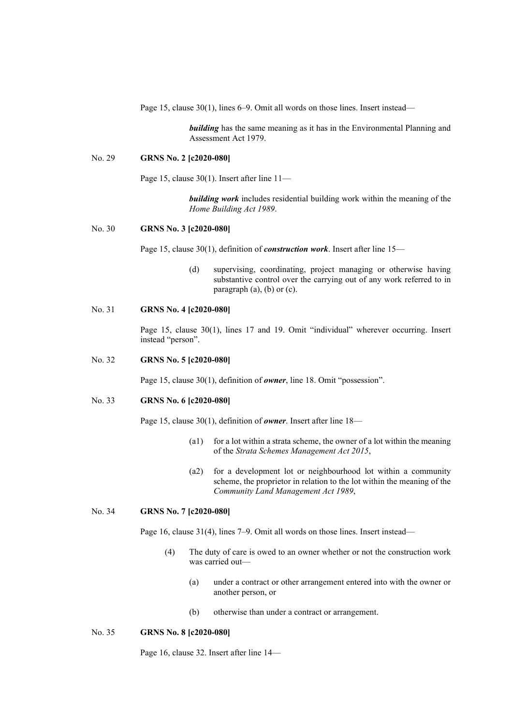Page 15, clause 30(1), lines 6–9. Omit all words on those lines. Insert instead—

*building* has the same meaning as it has in the Environmental Planning and Assessment Act 1979.

#### No. 29 **GRNS No. 2 [c2020-080]**

Page 15, clause 30(1). Insert after line 11—

*building work* includes residential building work within the meaning of the *Home Building Act 1989*.

#### No. 30 **GRNS No. 3 [c2020-080]**

Page 15, clause 30(1), definition of *construction work*. Insert after line 15—

(d) supervising, coordinating, project managing or otherwise having substantive control over the carrying out of any work referred to in paragraph (a), (b) or (c).

## No. 31 **GRNS No. 4 [c2020-080]**

Page 15, clause 30(1), lines 17 and 19. Omit "individual" wherever occurring. Insert instead "person".

#### No. 32 **GRNS No. 5 [c2020-080]**

Page 15, clause 30(1), definition of *owner*, line 18. Omit "possession".

# No. 33 **GRNS No. 6 [c2020-080]**

Page 15, clause 30(1), definition of *owner*. Insert after line 18—

- (a1) for a lot within a strata scheme, the owner of a lot within the meaning of the *Strata Schemes Management Act 2015*,
- (a2) for a development lot or neighbourhood lot within a community scheme, the proprietor in relation to the lot within the meaning of the *Community Land Management Act 1989*,

# No. 34 **GRNS No. 7 [c2020-080]**

Page 16, clause 31(4), lines 7–9. Omit all words on those lines. Insert instead—

- (4) The duty of care is owed to an owner whether or not the construction work was carried out—
	- (a) under a contract or other arrangement entered into with the owner or another person, or
	- (b) otherwise than under a contract or arrangement.

### No. 35 **GRNS No. 8 [c2020-080]**

Page 16, clause 32. Insert after line 14—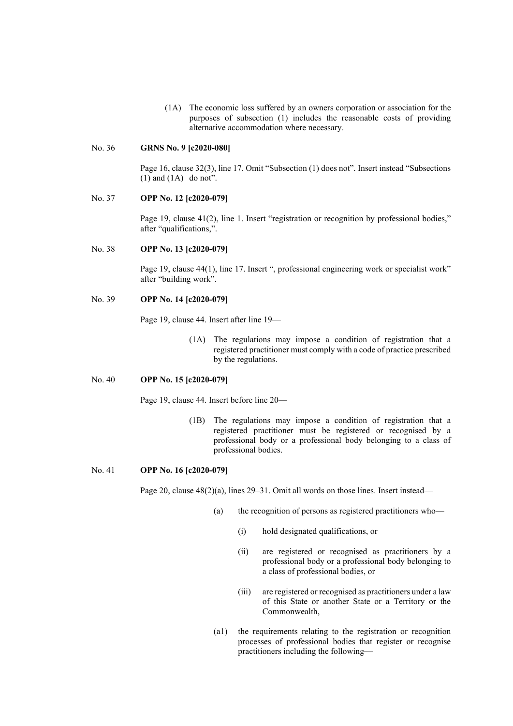(1A) The economic loss suffered by an owners corporation or association for the purposes of subsection (1) includes the reasonable costs of providing alternative accommodation where necessary.

### No. 36 **GRNS No. 9 [c2020-080]**

Page 16, clause 32(3), line 17. Omit "Subsection (1) does not". Insert instead "Subsections  $(1)$  and  $(1A)$  do not".

## No. 37 **OPP No. 12 [c2020-079]**

Page 19, clause 41(2), line 1. Insert "registration or recognition by professional bodies," after "qualifications,".

#### No. 38 **OPP No. 13 [c2020-079]**

Page 19, clause 44(1), line 17. Insert ", professional engineering work or specialist work" after "building work".

# No. 39 **OPP No. 14 [c2020-079]**

Page 19, clause 44. Insert after line 19—

(1A) The regulations may impose a condition of registration that a registered practitioner must comply with a code of practice prescribed by the regulations.

#### No. 40 **OPP No. 15 [c2020-079]**

Page 19, clause 44. Insert before line 20—

(1B) The regulations may impose a condition of registration that a registered practitioner must be registered or recognised by a professional body or a professional body belonging to a class of professional bodies.

### No. 41 **OPP No. 16 [c2020-079]**

Page 20, clause  $48(2)(a)$ , lines 29–31. Omit all words on those lines. Insert instead—

- (a) the recognition of persons as registered practitioners who—
	- (i) hold designated qualifications, or
	- (ii) are registered or recognised as practitioners by a professional body or a professional body belonging to a class of professional bodies, or
	- (iii) are registered or recognised as practitioners under a law of this State or another State or a Territory or the Commonwealth,
- (a1) the requirements relating to the registration or recognition processes of professional bodies that register or recognise practitioners including the following—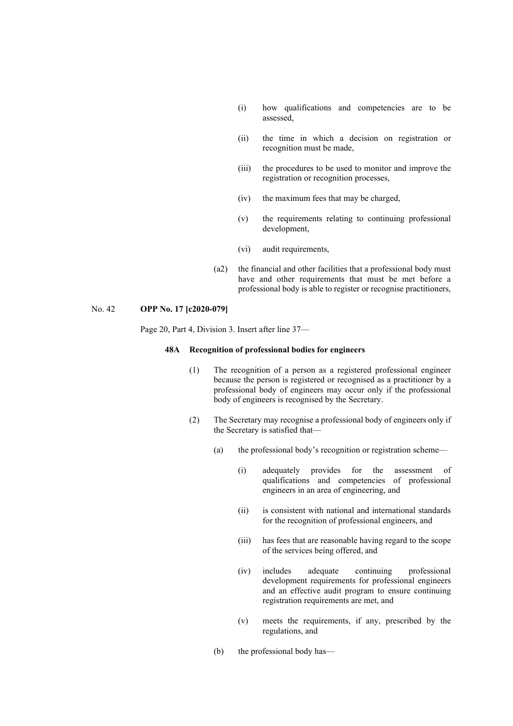- (i) how qualifications and competencies are to be assessed,
- (ii) the time in which a decision on registration or recognition must be made,
- (iii) the procedures to be used to monitor and improve the registration or recognition processes,
- (iv) the maximum fees that may be charged,
- (v) the requirements relating to continuing professional development,
- (vi) audit requirements,
- (a2) the financial and other facilities that a professional body must have and other requirements that must be met before a professional body is able to register or recognise practitioners,

### No. 42 **OPP No. 17 [c2020-079]**

Page 20, Part 4, Division 3. Insert after line 37—

# **48A Recognition of professional bodies for engineers**

- (1) The recognition of a person as a registered professional engineer because the person is registered or recognised as a practitioner by a professional body of engineers may occur only if the professional body of engineers is recognised by the Secretary.
- (2) The Secretary may recognise a professional body of engineers only if the Secretary is satisfied that—
	- (a) the professional body's recognition or registration scheme—
		- (i) adequately provides for the assessment of qualifications and competencies of professional engineers in an area of engineering, and
		- (ii) is consistent with national and international standards for the recognition of professional engineers, and
		- (iii) has fees that are reasonable having regard to the scope of the services being offered, and
		- (iv) includes adequate continuing professional development requirements for professional engineers and an effective audit program to ensure continuing registration requirements are met, and
		- (v) meets the requirements, if any, prescribed by the regulations, and
	- (b) the professional body has—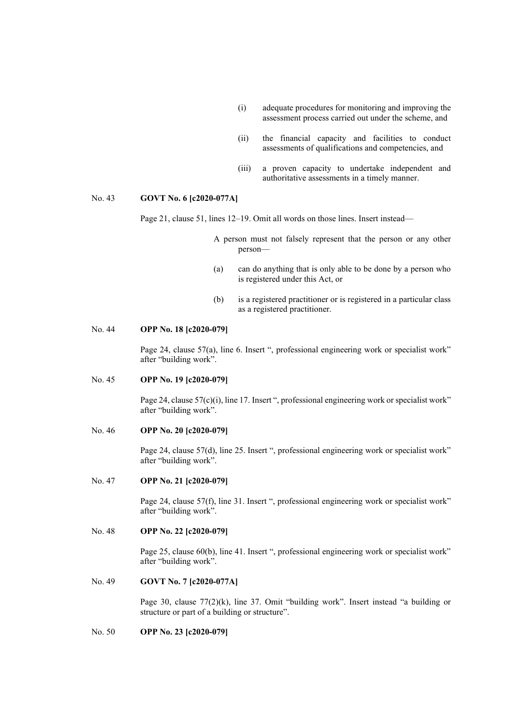- (i) adequate procedures for monitoring and improving the assessment process carried out under the scheme, and
- (ii) the financial capacity and facilities to conduct assessments of qualifications and competencies, and
- (iii) a proven capacity to undertake independent and authoritative assessments in a timely manner.

### No. 43 **GOVT No. 6 [c2020-077A]**

Page 21, clause 51, lines 12–19. Omit all words on those lines. Insert instead—

- A person must not falsely represent that the person or any other person—
- (a) can do anything that is only able to be done by a person who is registered under this Act, or
- (b) is a registered practitioner or is registered in a particular class as a registered practitioner.

## No. 44 **OPP No. 18 [c2020-079]**

Page 24, clause 57(a), line 6. Insert ", professional engineering work or specialist work" after "building work".

#### No. 45 **OPP No. 19 [c2020-079]**

Page 24, clause 57(c)(i), line 17. Insert ", professional engineering work or specialist work" after "building work".

### No. 46 **OPP No. 20 [c2020-079]**

Page 24, clause 57(d), line 25. Insert ", professional engineering work or specialist work" after "building work".

## No. 47 **OPP No. 21 [c2020-079]**

Page 24, clause 57(f), line 31. Insert ", professional engineering work or specialist work" after "building work".

### No. 48 **OPP No. 22 [c2020-079]**

Page 25, clause 60(b), line 41. Insert ", professional engineering work or specialist work" after "building work".

# No. 49 **GOVT No. 7 [c2020-077A]**

Page 30, clause 77(2)(k), line 37. Omit "building work". Insert instead "a building or structure or part of a building or structure".

# No. 50 **OPP No. 23 [c2020-079]**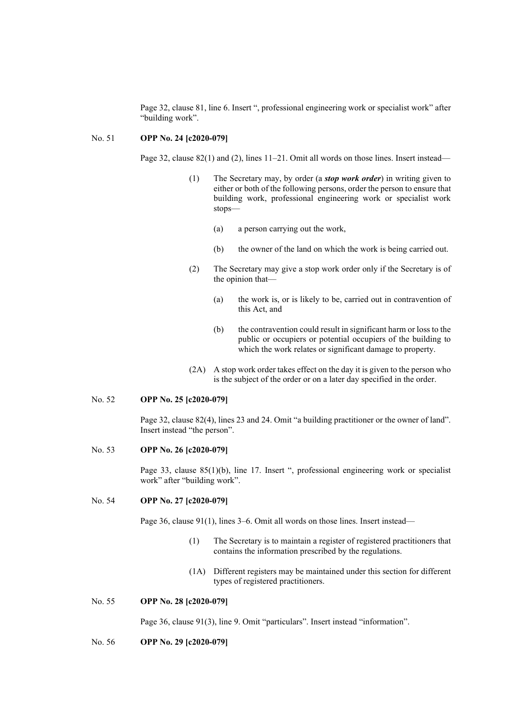Page 32, clause 81, line 6. Insert ", professional engineering work or specialist work" after "building work".

## No. 51 **OPP No. 24 [c2020-079]**

Page 32, clause 82(1) and (2), lines 11–21. Omit all words on those lines. Insert instead—

- (1) The Secretary may, by order (a *stop work order*) in writing given to either or both of the following persons, order the person to ensure that building work, professional engineering work or specialist work stops—
	- (a) a person carrying out the work,
	- (b) the owner of the land on which the work is being carried out.
- (2) The Secretary may give a stop work order only if the Secretary is of the opinion that—
	- (a) the work is, or is likely to be, carried out in contravention of this Act, and
	- (b) the contravention could result in significant harm or loss to the public or occupiers or potential occupiers of the building to which the work relates or significant damage to property.
- (2A) A stop work order takes effect on the day it is given to the person who is the subject of the order or on a later day specified in the order.

## No. 52 **OPP No. 25 [c2020-079]**

Page 32, clause 82(4), lines 23 and 24. Omit "a building practitioner or the owner of land". Insert instead "the person".

## No. 53 **OPP No. 26 [c2020-079]**

Page 33, clause 85(1)(b), line 17. Insert ", professional engineering work or specialist work" after "building work".

#### No. 54 **OPP No. 27 [c2020-079]**

Page 36, clause 91(1), lines 3–6. Omit all words on those lines. Insert instead—

- (1) The Secretary is to maintain a register of registered practitioners that contains the information prescribed by the regulations.
- (1A) Different registers may be maintained under this section for different types of registered practitioners.

### No. 55 **OPP No. 28 [c2020-079]**

Page 36, clause 91(3), line 9. Omit "particulars". Insert instead "information".

No. 56 **OPP No. 29 [c2020-079]**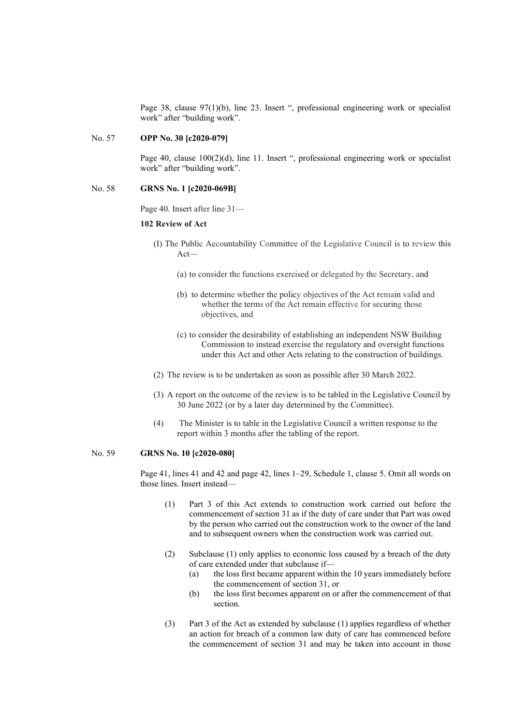Page 38, clause 97(1)(b), line 23. Insert ", professional engineering work or specialist work" after "building work".

### No. 57 **OPP No. 30 [c2020-079]**

Page 40, clause 100(2)(d), line 11. Insert ", professional engineering work or specialist work" after "building work".

#### No. 58 **GRNS No. 1 [c2020-069B]**

Page 40. Insert after line 31—

#### **102 Review of Act**

- (I) The Public Accountability Committee of the Legislative Council is to review this Act—
	- (a) to consider the functions exercised or delegated by the Secretary, and
	- (b) to determine whether the policy objectives of the Act remain valid and whether the terms of the Act remain effective for securing those objectives, and
	- (c) to consider the desirability of establishing an independent NSW Building Commission to instead exercise the regulatory and oversight functions under this Act and other Acts relating to the construction of buildings.
- (2) The review is to be undertaken as soon as possible after 30 March 2022.
- (3) A report on the outcome of the review is to be tabled in the Legislative Council by 30 June 2022 (or by a later day determined by the Committee).
- (4) The Minister is to table in the Legislative Council a written response to the report within 3 months after the tabling of the report.

#### No. 59 **GRNS No. 10 [c2020-080]**

Page 41, lines 41 and 42 and page 42, lines 1–29, Schedule 1, clause 5. Omit all words on those lines. Insert instead—

- (1) Part 3 of this Act extends to construction work carried out before the commencement of section 31 as if the duty of care under that Part was owed by the person who carried out the construction work to the owner of the land and to subsequent owners when the construction work was carried out.
- (2) Subclause (1) only applies to economic loss caused by a breach of the duty of care extended under that subclause if—
	- (a) the loss first became apparent within the 10 years immediately before the commencement of section 31, or
	- (b) the loss first becomes apparent on or after the commencement of that section.
- (3) Part 3 of the Act as extended by subclause (1) applies regardless of whether an action for breach of a common law duty of care has commenced before the commencement of section 31 and may be taken into account in those